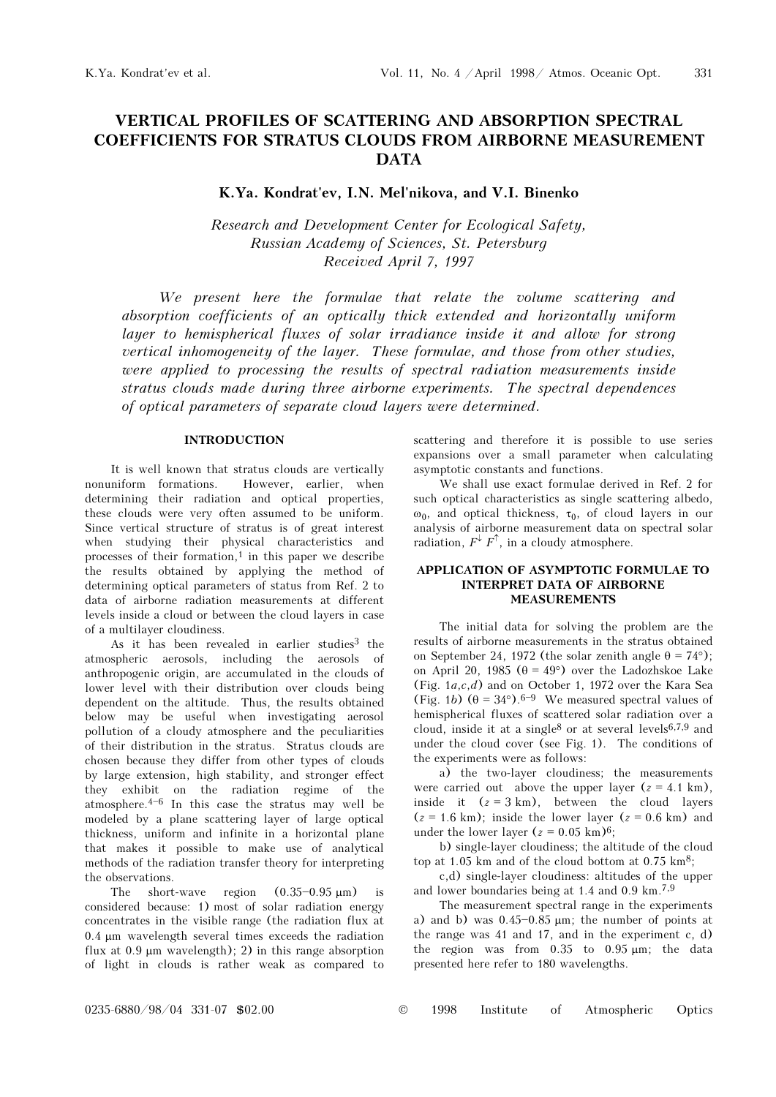# VERTICAL PROFILES OF SCATTERING AND ABSORPTION SPECTRAL COEFFICIENTS FOR STRATUS CLOUDS FROM AIRBORNE MEASUREMENT DATA

## K.Ya. Kondrat'ev, I.N. Mel'nikova, and V.I. Binenko

Research and Development Center for Ecological Safety, Russian Academy of Sciences, St. Petersburg Received April 7, 1997

We present here the formulae that relate the volume scattering and absorption coefficients of an optically thick extended and horizontally uniform layer to hemispherical fluxes of solar irradiance inside it and allow for strong vertical inhomogeneity of the layer. These formulae, and those from other studies, were applied to processing the results of spectral radiation measurements inside stratus clouds made during three airborne experiments. The spectral dependences of optical parameters of separate cloud layers were determined.

## **INTRODUCTION**

It is well known that stratus clouds are vertically nonuniform formations. However, earlier, when determining their radiation and optical properties, these clouds were very often assumed to be uniform. Since vertical structure of stratus is of great interest when studying their physical characteristics and processes of their formation, $1$  in this paper we describe the results obtained by applying the method of determining optical parameters of status from Ref. 2 to data of airborne radiation measurements at different levels inside a cloud or between the cloud layers in case of a multilayer cloudiness.

As it has been revealed in earlier studies<sup>3</sup> the atmospheric aerosols, including the aerosols of anthropogenic origin, are accumulated in the clouds of lower level with their distribution over clouds being dependent on the altitude. Thus, the results obtained below may be useful when investigating aerosol pollution of a cloudy atmosphere and the peculiarities of their distribution in the stratus. Stratus clouds are chosen because they differ from other types of clouds by large extension, high stability, and stronger effect they exhibit on the radiation regime of the atmosphere. $4-6$  In this case the stratus may well be modeled by a plane scattering layer of large optical thickness, uniform and infinite in a horizontal plane that makes it possible to make use of analytical methods of the radiation transfer theory for interpreting the observations.

The short-wave region  $(0.35-0.95 \text{ }\mu\text{m})$ considered because: 1) most of solar radiation energy concentrates in the visible range (the radiation flux at 0.4 μm wavelength several times exceeds the radiation flux at 0.9 μm wavelength); 2) in this range absorption of light in clouds is rather weak as compared to scattering and therefore it is possible to use series expansions over a small parameter when calculating asymptotic constants and functions.

We shall use exact formulae derived in Ref. 2 for such optical characteristics as single scattering albedo, ω<sub>0</sub>, and optical thickness, τ<sub>0</sub>, of cloud layers in our analysis of airborne measurement data on spectral solar radiation,  $F^{\downarrow} F^{\uparrow}$ , in a cloudy atmosphere.

#### APPLICATION OF ASYMPTOTIC FORMULAE TO INTERPRET DATA OF AIRBORNE MEASUREMENTS

The initial data for solving the problem are the results of airborne measurements in the stratus obtained on September 24, 1972 (the solar zenith angle  $\theta = 74^{\circ}$ ); on April 20, 1985 ( $\theta = 49^{\circ}$ ) over the Ladozhskoe Lake (Fig.  $1a,c,d$ ) and on October 1, 1972 over the Kara Sea (Fig. 1b)  $(\theta = 34^{\circ})$ . 6<sup>-9</sup> We measured spectral values of hemispherical fluxes of scattered solar radiation over a cloud, inside it at a single<sup>8</sup> or at several levels<sup>6,7,9</sup> and under the cloud cover (see Fig. 1). The conditions of the experiments were as follows:

a) the two-layer cloudiness; the measurements were carried out above the upper layer  $(z = 4.1 \text{ km})$ , inside it  $(z = 3 \text{ km})$ , between the cloud layers  $(z = 1.6$  km); inside the lower layer  $(z = 0.6$  km) and under the lower layer  $(z = 0.05 \text{ km})^6$ ;

b) single-layer cloudiness; the altitude of the cloud top at 1.05 km and of the cloud bottom at  $0.75 \text{ km}^8$ ;

c,d) single-layer cloudiness: altitudes of the upper and lower boundaries being at 1.4 and 0.9 km.7,9

The measurement spectral range in the experiments a) and b) was  $0.45 - 0.85 \mu m$ ; the number of points at the range was 41 and 17, and in the experiment c, d) the region was from 0.35 to 0.95 μm; the data presented here refer to 180 wavelengths.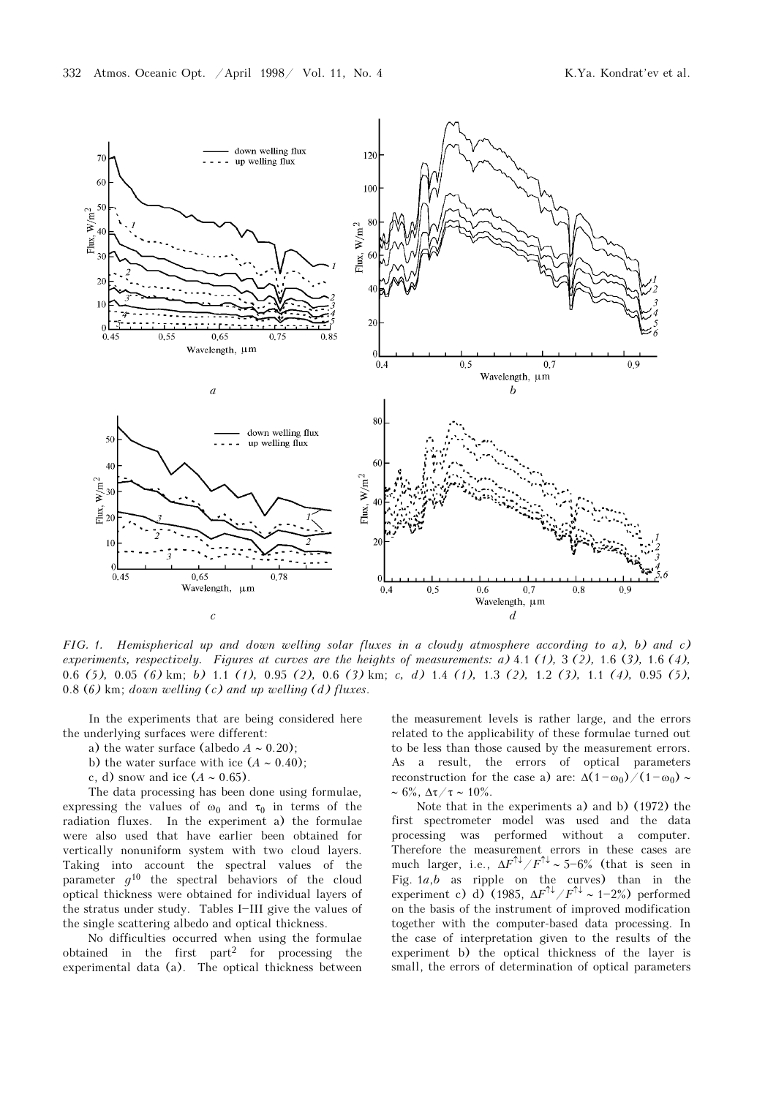

FIG. 1. Hemispherical up and down welling solar fluxes in a cloudy atmosphere according to a), b) and c) experiments, respectively. Figures at curves are the heights of measurements: a) 4.1 (1), 3 (2), 1.6 (3), 1.6 (4), 0.6 (5), 0.05 (6) km; b) 1.1 (1), 0.95 (2), 0.6 (3) km; c, d) 1.4 (1), 1.3 (2), 1.2 (3), 1.1 (4), 0.95 (5), 0.8 (6) km; down welling  $(c)$  and up welling  $(d)$  fluxes.

In the experiments that are being considered here the underlying surfaces were different:

a) the water surface (albedo  $A \sim 0.20$ );

b) the water surface with ice  $(A \sim 0.40)$ ;

c, d) snow and ice  $(A \sim 0.65)$ .

The data processing has been done using formulae, expressing the values of  $\omega_0$  and  $\tau_0$  in terms of the radiation fluxes. In the experiment a) the formulae were also used that have earlier been obtained for vertically nonuniform system with two cloud layers. Taking into account the spectral values of the parameter  $g^{10}$  the spectral behaviors of the cloud optical thickness were obtained for individual layers of the stratus under study. Tables I-III give the values of the single scattering albedo and optical thickness.

No difficulties occurred when using the formulae obtained in the first part2 for processing the experimental data (a). The optical thickness between

the measurement levels is rather large, and the errors related to the applicability of these formulae turned out to be less than those caused by the measurement errors. As a result, the errors of optical parameters reconstruction for the case a) are:  $\Delta(1 - \omega_0)/(1 - \omega_0)$  ~  $~\sim 6\%$ ,  $\Delta \tau / \tau \sim 10\%$ .

Note that in the experiments a) and b) (1972) the first spectrometer model was used and the data processing was performed without a computer. Therefore the measurement errors in these cases are much larger, i.e.,  $\Delta F^{\uparrow\downarrow} / F^{\uparrow\downarrow} \sim 5^{-6\%}$  (that is seen in Fig.  $1a,b$  as ripple on the curves) than in the experiment c) d) (1985,  $\Delta F^{\uparrow\downarrow} / F^{\uparrow\downarrow} \sim 1-2\%$ ) performed on the basis of the instrument of improved modification together with the computer-based data processing. In the case of interpretation given to the results of the experiment b) the optical thickness of the layer is small, the errors of determination of optical parameters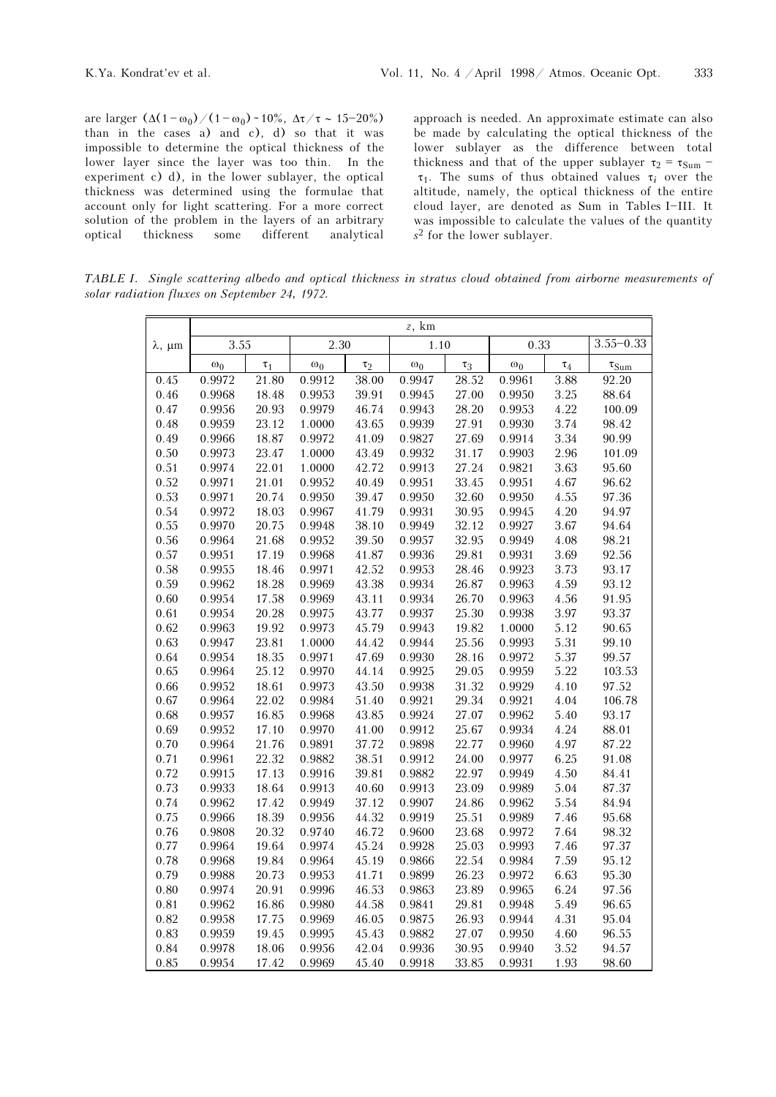are larger  $(\Delta(1 - \omega_0)/(1 - \omega_0) \sim 10\%, \Delta\tau/\tau \sim 15 - 20\%)$ than in the cases a) and c), d) so that it was impossible to determine the optical thickness of the lower layer since the layer was too thin. In the experiment c) d), in the lower sublayer, the optical thickness was determined using the formulae that account only for light scattering. For a more correct solution of the problem in the layers of an arbitrary optical thickness some different analytical approach is needed. An approximate estimate can also be made by calculating the optical thickness of the lower sublayer as the difference between total thickness and that of the upper sublayer  $\tau_2 = \tau_{Sum}$  - $\tau_1$ . The sums of thus obtained values  $\tau_i$  over the altitude, namely, the optical thickness of the entire cloud layer, are denoted as Sum in Tables I-III. It was impossible to calculate the values of the quantity s2 for the lower sublayer.

TABLE I. Single scattering albedo and optical thickness in stratus cloud obtained from airborne measurements of solar radiation fluxes on September 24, 1972.

|                     | $z$ , km   |          |            |          |            |           |            |          |                     |
|---------------------|------------|----------|------------|----------|------------|-----------|------------|----------|---------------------|
| $\lambda$ , $\mu$ m | 3.55       |          | 2.30       |          | 1.10       |           | 0.33       |          | $3.55 - 0.33$       |
|                     | $\omega_0$ | $\tau_1$ | $\omega_0$ | $\tau_2$ | $\omega_0$ | $\tau_3$  | $\omega_0$ | $\tau_4$ | $\tau_{\text{Sum}}$ |
| 0.45                | 0.9972     | 21.80    | 0.9912     | 38.00    | 0.9947     | 28.52     | 0.9961     | 3.88     | 92.20               |
| 0.46                | 0.9968     | 18.48    | 0.9953     | 39.91    | 0.9945     | 27.00     | 0.9950     | 3.25     | 88.64               |
| 0.47                | 0.9956     | 20.93    | 0.9979     | 46.74    | 0.9943     | 28.20     | 0.9953     | 4.22     | 100.09              |
| 0.48                | 0.9959     | 23.12    | 1.0000     | 43.65    | 0.9939     | 27.91     | 0.9930     | 3.74     | 98.42               |
| 0.49                | 0.9966     | 18.87    | 0.9972     | 41.09    | 0.9827     | 27.69     | 0.9914     | 3.34     | 90.99               |
| 0.50                | 0.9973     | 23.47    | 1.0000     | 43.49    | 0.9932     | 31.17     | 0.9903     | 2.96     | 101.09              |
| 0.51                | 0.9974     | 22.01    | 1.0000     | 42.72    | 0.9913     | 27.24     | 0.9821     | 3.63     | 95.60               |
| 0.52                | 0.9971     | 21.01    | 0.9952     | 40.49    | 0.9951     | 33.45     | 0.9951     | 4.67     | 96.62               |
| 0.53                | 0.9971     | 20.74    | 0.9950     | 39.47    | 0.9950     | 32.60     | 0.9950     | 4.55     | 97.36               |
| 0.54                | 0.9972     | 18.03    | 0.9967     | 41.79    | 0.9931     | 30.95     | 0.9945     | 4.20     | 94.97               |
| 0.55                | 0.9970     | 20.75    | 0.9948     | 38.10    | 0.9949     | 32.12     | 0.9927     | 3.67     | 94.64               |
| 0.56                | 0.9964     | 21.68    | 0.9952     | 39.50    | 0.9957     | 32.95     | 0.9949     | 4.08     | 98.21               |
| 0.57                | 0.9951     | 17.19    | 0.9968     | 41.87    | 0.9936     | 29.81     | 0.9931     | 3.69     | 92.56               |
| 0.58                | 0.9955     | 18.46    | 0.9971     | 42.52    | 0.9953     | 28.46     | 0.9923     | 3.73     | 93.17               |
| 0.59                | 0.9962     | 18.28    | 0.9969     | 43.38    | 0.9934     | 26.87     | 0.9963     | 4.59     | 93.12               |
| 0.60                | 0.9954     | 17.58    | 0.9969     | 43.11    | 0.9934     | 26.70     | 0.9963     | 4.56     | 91.95               |
| 0.61                | 0.9954     | 20.28    | 0.9975     | 43.77    | 0.9937     | $25.30\,$ | 0.9938     | 3.97     | 93.37               |
| 0.62                | 0.9963     | 19.92    | 0.9973     | 45.79    | 0.9943     | 19.82     | 1.0000     | 5.12     | 90.65               |
| 0.63                | 0.9947     | 23.81    | 1.0000     | 44.42    | 0.9944     | 25.56     | 0.9993     | 5.31     | 99.10               |
| 0.64                | 0.9954     | 18.35    | 0.9971     | 47.69    | 0.9930     | 28.16     | 0.9972     | 5.37     | 99.57               |
| 0.65                | 0.9964     | 25.12    | 0.9970     | 44.14    | 0.9925     | 29.05     | 0.9959     | 5.22     | 103.53              |
| 0.66                | 0.9952     | 18.61    | 0.9973     | 43.50    | 0.9938     | 31.32     | 0.9929     | 4.10     | 97.52               |
| 0.67                | 0.9964     | 22.02    | 0.9984     | 51.40    | 0.9921     | 29.34     | 0.9921     | 4.04     | 106.78              |
| 0.68                | 0.9957     | 16.85    | 0.9968     | 43.85    | 0.9924     | 27.07     | 0.9962     | 5.40     | 93.17               |
| 0.69                | 0.9952     | 17.10    | 0.9970     | 41.00    | 0.9912     | 25.67     | 0.9934     | 4.24     | 88.01               |
| 0.70                | 0.9964     | 21.76    | 0.9891     | 37.72    | 0.9898     | 22.77     | 0.9960     | 4.97     | 87.22               |
| 0.71                | 0.9961     | 22.32    | 0.9882     | 38.51    | 0.9912     | 24.00     | 0.9977     | 6.25     | 91.08               |
| 0.72                | 0.9915     | 17.13    | 0.9916     | 39.81    | 0.9882     | 22.97     | 0.9949     | 4.50     | 84.41               |
| 0.73                | 0.9933     | 18.64    | 0.9913     | 40.60    | 0.9913     | 23.09     | 0.9989     | 5.04     | 87.37               |
| 0.74                | 0.9962     | 17.42    | 0.9949     | 37.12    | 0.9907     | 24.86     | 0.9962     | 5.54     | 84.94               |
| 0.75                | 0.9966     | 18.39    | 0.9956     | 44.32    | 0.9919     | 25.51     | 0.9989     | 7.46     | 95.68               |
| 0.76                | 0.9808     | 20.32    | 0.9740     | 46.72    | 0.9600     | 23.68     | 0.9972     | 7.64     | 98.32               |
| 0.77                | 0.9964     | 19.64    | 0.9974     | 45.24    | 0.9928     | 25.03     | 0.9993     | 7.46     | 97.37               |
| 0.78                | 0.9968     | 19.84    | 0.9964     | 45.19    | 0.9866     | 22.54     | 0.9984     | 7.59     | 95.12               |
| 0.79                | 0.9988     | 20.73    | 0.9953     | 41.71    | 0.9899     | 26.23     | 0.9972     | 6.63     | 95.30               |
| 0.80                | 0.9974     | 20.91    | 0.9996     | 46.53    | 0.9863     | 23.89     | 0.9965     | 6.24     | 97.56               |
| 0.81                | 0.9962     | 16.86    | 0.9980     | 44.58    | 0.9841     | 29.81     | 0.9948     | 5.49     | 96.65               |
| 0.82                | 0.9958     | 17.75    | 0.9969     | 46.05    | 0.9875     | 26.93     | 0.9944     | 4.31     | 95.04               |
| 0.83                | 0.9959     | 19.45    | 0.9995     | 45.43    | 0.9882     | 27.07     | 0.9950     | 4.60     | 96.55               |
| 0.84                | 0.9978     | 18.06    | 0.9956     | 42.04    | 0.9936     | 30.95     | 0.9940     | 3.52     | 94.57               |
| 0.85                | 0.9954     | 17.42    | 0.9969     | 45.40    | 0.9918     | 33.85     | 0.9931     | 1.93     | 98.60               |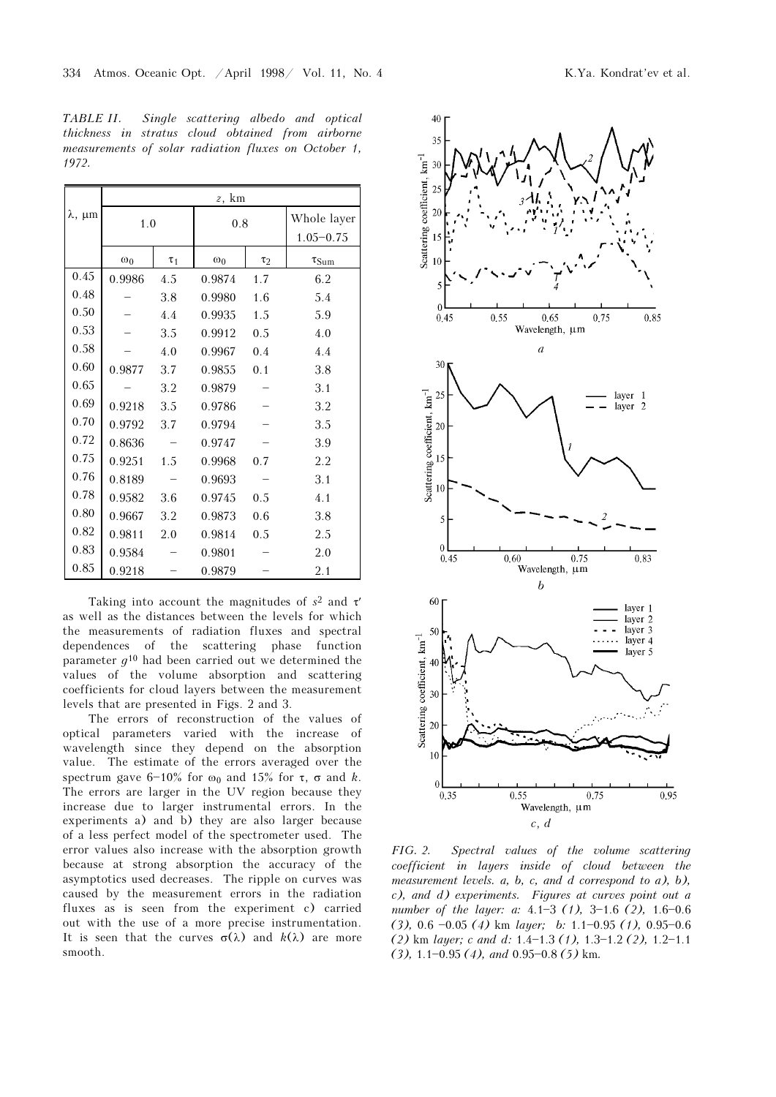TABLE II. Single scattering albedo and optical thickness in stratus cloud obtained from airborne measurements of solar radiation fluxes on October 1, 1972.

|                     | z, km      |          |                        |     |               |  |  |  |
|---------------------|------------|----------|------------------------|-----|---------------|--|--|--|
| $\lambda$ , $\mu$ m | 1.0        |          | 0.8                    |     | Whole layer   |  |  |  |
|                     |            |          |                        |     | $1.05 - 0.75$ |  |  |  |
|                     | $\omega_0$ | $\tau_1$ | $\omega_0$<br>$\tau_2$ |     | $\tau_{Sum}$  |  |  |  |
| 0.45                | 0.9986     | 4.5      | 0.9874                 | 1.7 | 6.2           |  |  |  |
| 0.48                |            | 3.8      | 0.9980                 | 1.6 | 5.4           |  |  |  |
| 0.50                |            | 4.4      | 0.9935                 | 1.5 | 5.9           |  |  |  |
| 0.53                |            | 3.5      | 0.9912                 | 0.5 | 4.0           |  |  |  |
| 0.58                |            | 4.0      | 0.9967                 | 0.4 | 4.4           |  |  |  |
| 0.60                | 0.9877     | 3.7      | 0.9855                 | 0.1 | 3.8           |  |  |  |
| 0.65                |            | 3.2      | 0.9879                 |     | 3.1           |  |  |  |
| 0.69                | 0.9218     | 3.5      | 0.9786                 |     | 3.2           |  |  |  |
| 0.70                | 0.9792     | 3.7      | 0.9794                 |     | 3.5           |  |  |  |
| 0.72                | 0.8636     |          | 0.9747                 |     | 3.9           |  |  |  |
| 0.75                | 0.9251     | 1.5      | 0.9968                 | 0.7 | 2.2           |  |  |  |
| 0.76                | 0.8189     |          | 0.9693                 |     | 3.1           |  |  |  |
| 0.78                | 0.9582     | 3.6      | 0.9745                 | 0.5 | 4.1           |  |  |  |
| 0.80                | 0.9667     | 3.2      | 0.9873                 | 0.6 | 3.8           |  |  |  |
| 0.82                | 0.9811     | 2.0      | 0.9814                 | 0.5 | 2.5           |  |  |  |
| 0.83                | 0.9584     |          | 0.9801                 |     | 2.0           |  |  |  |
| 0.85                | 0.9218     |          | 0.9879                 |     | 2.1           |  |  |  |

Taking into account the magnitudes of  $s^2$  and  $\tau'$ as well as the distances between the levels for which the measurements of radiation fluxes and spectral dependences of the scattering phase function parameter  $q^{10}$  had been carried out we determined the values of the volume absorption and scattering coefficients for cloud layers between the measurement levels that are presented in Figs. 2 and 3.

The errors of reconstruction of the values of optical parameters varied with the increase of wavelength since they depend on the absorption value. The estimate of the errors averaged over the spectrum gave  $6-10\%$  for  $\omega_0$  and  $15\%$  for  $\tau$ ,  $\sigma$  and k. The errors are larger in the UV region because they increase due to larger instrumental errors. In the experiments a) and b) they are also larger because of a less perfect model of the spectrometer used. The error values also increase with the absorption growth because at strong absorption the accuracy of the asymptotics used decreases. The ripple on curves was caused by the measurement errors in the radiation fluxes as is seen from the experiment c) carried out with the use of a more precise instrumentation. It is seen that the curves  $\sigma(\lambda)$  and  $k(\lambda)$  are more smooth.



FIG. 2. Spectral values of the volume scattering coefficient in layers inside of cloud between the measurement levels.  $a, b, c, and d$  correspond to  $a$ ,  $b$ , c), and d) experiments. Figures at curves point out a number of the layer: a:  $4.1-3$  (1),  $3-1.6$  (2),  $1.6-0.6$ (3), 0.6  $-0.05$  (4) km *layer*; b: 1.1 $-0.95$  (1), 0.95 $-0.6$ (2) km layer; c and d:  $1.4-1.3$  (1),  $1.3-1.2$  (2),  $1.2-1.1$  $(3)$ , 1.1-0.95 (4), and 0.95-0.8 (5) km.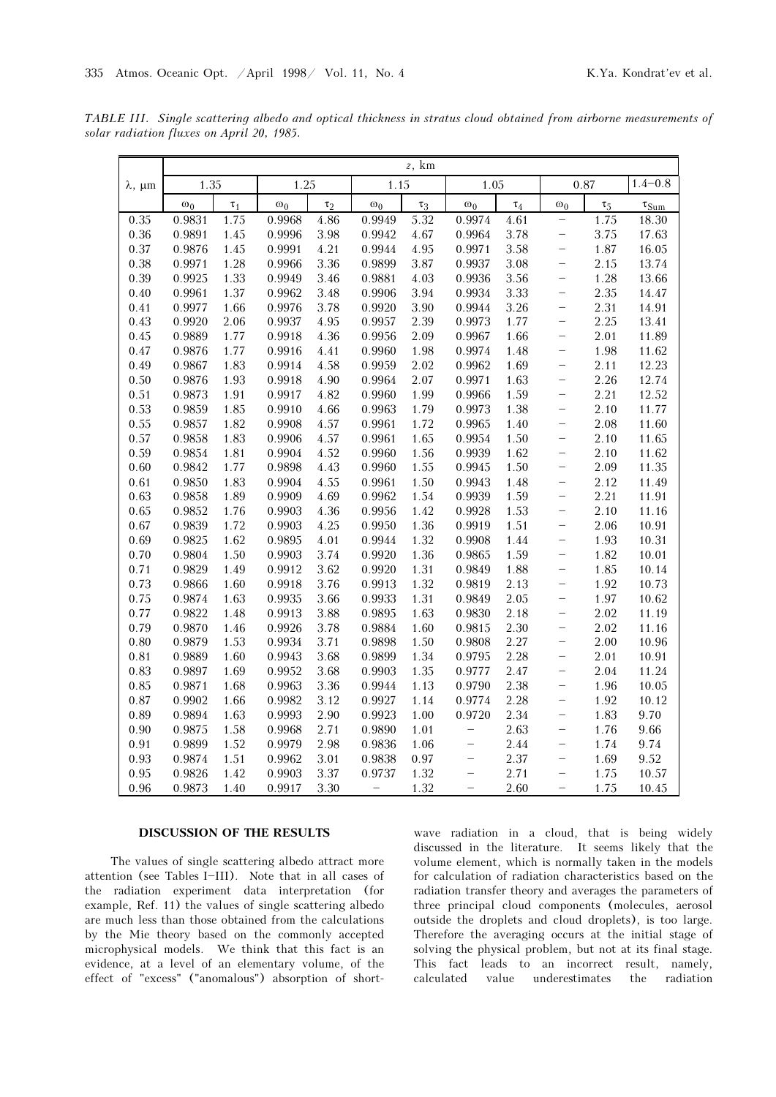TABLE III. Single scattering albedo and optical thickness in stratus cloud obtained from airborne measurements of solar radiation fluxes on April 20, 1985.

|                     | $z$ , km   |          |            |          |            |          |                          |          |                          |          |                                   |
|---------------------|------------|----------|------------|----------|------------|----------|--------------------------|----------|--------------------------|----------|-----------------------------------|
| $\lambda$ , $\mu$ m | 1.35       |          | 1.25       |          | 1.15       |          | 1.05                     |          | 0.87                     |          | $1.4 - 0.8$                       |
|                     | $\omega_0$ | $\tau_1$ | $\omega_0$ | $\tau_2$ | $\omega_0$ | $\tau_3$ | $\omega_0$               | $\tau_4$ | $\omega_0$               | $\tau_5$ | $\tau_{\underline{\mathrm{Sum}}}$ |
| 0.35                | 0.9831     | 1.75     | 0.9968     | 4.86     | 0.9949     | 5.32     | 0.9974                   | 4.61     | $\overline{\phantom{0}}$ | 1.75     | 18.30                             |
| 0.36                | 0.9891     | 1.45     | 0.9996     | 3.98     | 0.9942     | 4.67     | 0.9964                   | 3.78     | $\overline{\phantom{0}}$ | 3.75     | 17.63                             |
| 0.37                | 0.9876     | 1.45     | 0.9991     | 4.21     | 0.9944     | 4.95     | 0.9971                   | 3.58     | -                        | 1.87     | 16.05                             |
| 0.38                | 0.9971     | 1.28     | 0.9966     | 3.36     | 0.9899     | 3.87     | 0.9937                   | 3.08     | $\overline{\phantom{0}}$ | 2.15     | 13.74                             |
| 0.39                | 0.9925     | 1.33     | 0.9949     | 3.46     | 0.9881     | 4.03     | 0.9936                   | 3.56     | -                        | 1.28     | 13.66                             |
| 0.40                | 0.9961     | 1.37     | 0.9962     | 3.48     | 0.9906     | 3.94     | 0.9934                   | 3.33     | -                        | 2.35     | 14.47                             |
| 0.41                | 0.9977     | 1.66     | 0.9976     | 3.78     | 0.9920     | 3.90     | 0.9944                   | 3.26     | $\overline{\phantom{0}}$ | 2.31     | 14.91                             |
| 0.43                | 0.9920     | 2.06     | 0.9937     | 4.95     | 0.9957     | 2.39     | 0.9973                   | 1.77     | $\equiv$                 | 2.25     | 13.41                             |
| 0.45                | 0.9889     | 1.77     | 0.9918     | 4.36     | 0.9956     | 2.09     | 0.9967                   | 1.66     | —                        | 2.01     | 11.89                             |
| 0.47                | 0.9876     | 1.77     | 0.9916     | 4.41     | 0.9960     | 1.98     | 0.9974                   | 1.48     | $\overline{\phantom{0}}$ | 1.98     | 11.62                             |
| 0.49                | 0.9867     | 1.83     | 0.9914     | 4.58     | 0.9959     | 2.02     | 0.9962                   | 1.69     | $\equiv$                 | 2.11     | 12.23                             |
| 0.50                | 0.9876     | 1.93     | 0.9918     | 4.90     | 0.9964     | 2.07     | 0.9971                   | 1.63     | -                        | 2.26     | 12.74                             |
| 0.51                | 0.9873     | 1.91     | 0.9917     | 4.82     | 0.9960     | 1.99     | 0.9966                   | 1.59     | -                        | 2.21     | 12.52                             |
| 0.53                | 0.9859     | 1.85     | 0.9910     | 4.66     | 0.9963     | 1.79     | 0.9973                   | 1.38     | $\overline{\phantom{0}}$ | 2.10     | 11.77                             |
| 0.55                | 0.9857     | 1.82     | 0.9908     | 4.57     | 0.9961     | 1.72     | 0.9965                   | 1.40     | $\overline{\phantom{0}}$ | 2.08     | 11.60                             |
| 0.57                | 0.9858     | 1.83     | 0.9906     | 4.57     | 0.9961     | 1.65     | 0.9954                   | 1.50     | -                        | 2.10     | 11.65                             |
| 0.59                | 0.9854     | 1.81     | 0.9904     | 4.52     | 0.9960     | 1.56     | 0.9939                   | 1.62     | $\equiv$                 | 2.10     | 11.62                             |
| 0.60                | 0.9842     | 1.77     | 0.9898     | 4.43     | 0.9960     | 1.55     | 0.9945                   | 1.50     | $\overline{\phantom{0}}$ | 2.09     | 11.35                             |
| 0.61                | 0.9850     | 1.83     | 0.9904     | 4.55     | 0.9961     | 1.50     | 0.9943                   | 1.48     | -                        | 2.12     | 11.49                             |
| 0.63                | 0.9858     | 1.89     | 0.9909     | 4.69     | 0.9962     | 1.54     | 0.9939                   | 1.59     | $\overline{\phantom{0}}$ | 2.21     | 11.91                             |
| 0.65                | 0.9852     | 1.76     | 0.9903     | 4.36     | 0.9956     | 1.42     | 0.9928                   | 1.53     | $\equiv$                 | 2.10     | 11.16                             |
| 0.67                | 0.9839     | 1.72     | 0.9903     | 4.25     | 0.9950     | 1.36     | 0.9919                   | 1.51     | -                        | 2.06     | 10.91                             |
| 0.69                | 0.9825     | 1.62     | 0.9895     | 4.01     | 0.9944     | 1.32     | 0.9908                   | 1.44     | $\overline{\phantom{0}}$ | 1.93     | 10.31                             |
| 0.70                | 0.9804     | 1.50     | 0.9903     | 3.74     | 0.9920     | 1.36     | 0.9865                   | 1.59     | $\equiv$                 | 1.82     | 10.01                             |
| 0.71                | 0.9829     | 1.49     | 0.9912     | 3.62     | 0.9920     | 1.31     | 0.9849                   | 1.88     | -                        | 1.85     | 10.14                             |
| 0.73                | 0.9866     | 1.60     | 0.9918     | 3.76     | 0.9913     | 1.32     | 0.9819                   | 2.13     | -                        | 1.92     | 10.73                             |
| 0.75                | 0.9874     | 1.63     | 0.9935     | 3.66     | 0.9933     | 1.31     | 0.9849                   | 2.05     | $\equiv$                 | 1.97     | 10.62                             |
| 0.77                | 0.9822     | 1.48     | 0.9913     | 3.88     | 0.9895     | 1.63     | 0.9830                   | 2.18     | -                        | 2.02     | 11.19                             |
| 0.79                | 0.9870     | 1.46     | 0.9926     | 3.78     | 0.9884     | 1.60     | 0.9815                   | 2.30     | -                        | 2.02     | 11.16                             |
| 0.80                | 0.9879     | 1.53     | 0.9934     | 3.71     | 0.9898     | 1.50     | 0.9808                   | 2.27     | $\equiv$                 | 2.00     | 10.96                             |
| 0.81                | 0.9889     | 1.60     | 0.9943     | 3.68     | 0.9899     | 1.34     | 0.9795                   | 2.28     | $\overline{\phantom{0}}$ | 2.01     | 10.91                             |
| 0.83                | 0.9897     | 1.69     | 0.9952     | 3.68     | 0.9903     | 1.35     | 0.9777                   | 2.47     | -                        | 2.04     | 11.24                             |
| 0.85                | 0.9871     | 1.68     | 0.9963     | 3.36     | 0.9944     | 1.13     | 0.9790                   | 2.38     | $\equiv$                 | 1.96     | 10.05                             |
| 0.87                | 0.9902     | 1.66     | 0.9982     | 3.12     | 0.9927     | 1.14     | 0.9774                   | 2.28     | $\equiv$                 | 1.92     | 10.12                             |
| 0.89                | 0.9894     | 1.63     | 0.9993     | 2.90     | 0.9923     | 1.00     | 0.9720                   | 2.34     | $\overline{\phantom{0}}$ | 1.83     | 9.70                              |
| 0.90                | 0.9875     | 1.58     | 0.9968     | 2.71     | 0.9890     | 1.01     | -                        | 2.63     | -                        | 1.76     | 9.66                              |
| 0.91                | 0.9899     | 1.52     | 0.9979     | 2.98     | 0.9836     | 1.06     | $\equiv$                 | 2.44     | -                        | 1.74     | 9.74                              |
| 0.93                | 0.9874     | 1.51     | 0.9962     | 3.01     | 0.9838     | 0.97     | -                        | 2.37     | -                        | 1.69     | 9.52                              |
| 0.95                | 0.9826     | 1.42     | 0.9903     | 3.37     | 0.9737     | 1.32     | $\overline{\phantom{0}}$ | 2.71     | -                        | 1.75     | 10.57                             |
| 0.96                | 0.9873     | 1.40     | 0.9917     | 3.30     | $\equiv$   | 1.32     |                          | 2.60     | -                        | 1.75     | 10.45                             |

### DISCUSSION OF THE RESULTS

The values of single scattering albedo attract more attention (see Tables I-III). Note that in all cases of the radiation experiment data interpretation (for example, Ref. 11) the values of single scattering albedo are much less than those obtained from the calculations by the Mie theory based on the commonly accepted microphysical models. We think that this fact is an evidence, at a level of an elementary volume, of the effect of "excess" ("anomalous") absorption of shortwave radiation in a cloud, that is being widely discussed in the literature. It seems likely that the volume element, which is normally taken in the models for calculation of radiation characteristics based on the radiation transfer theory and averages the parameters of three principal cloud components (molecules, aerosol outside the droplets and cloud droplets), is too large. Therefore the averaging occurs at the initial stage of solving the physical problem, but not at its final stage. This fact leads to an incorrect result, namely, calculated value underestimates the radiation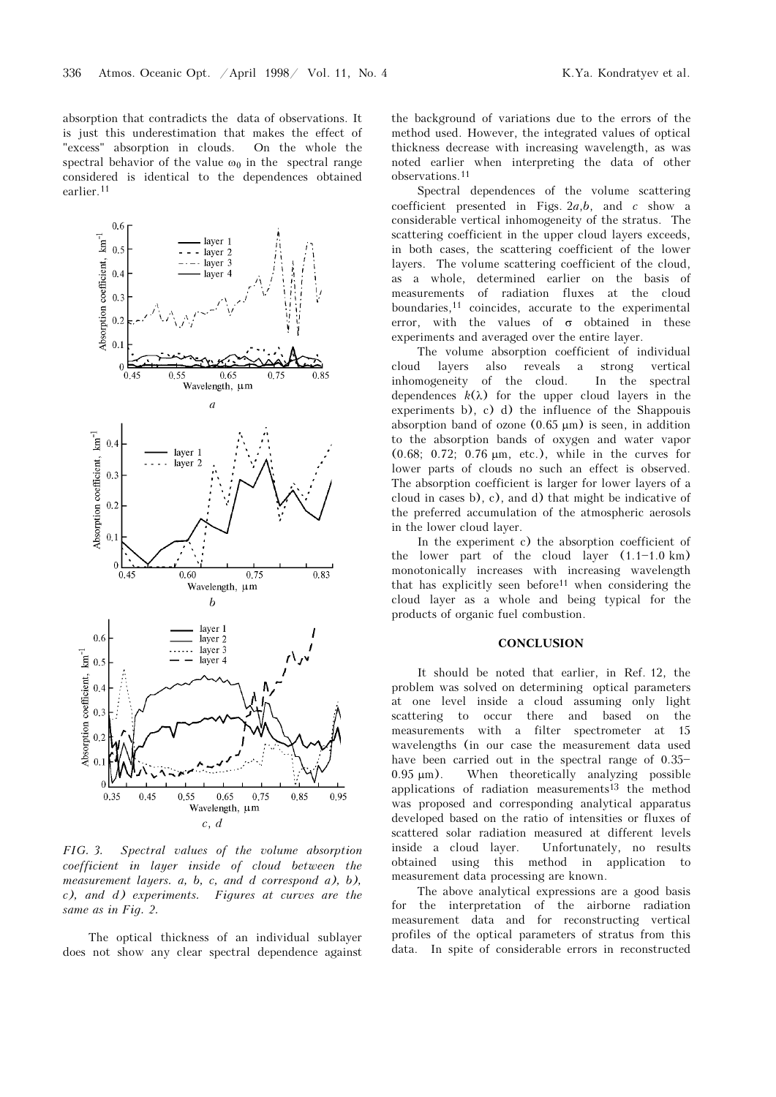absorption that contradicts the data of observations. It is just this underestimation that makes the effect of "excess" absorption in clouds. On the whole the spectral behavior of the value  $\omega_0$  in the spectral range considered is identical to the dependences obtained earlier.<sup>11</sup>



FIG. 3. Spectral values of the volume absorption coefficient in layer inside of cloud between the measurement layers. a, b, c, and d correspond a), b), c), and d) experiments. Figures at curves are the same as in Fig. 2.

The optical thickness of an individual sublayer does not show any clear spectral dependence against the background of variations due to the errors of the method used. However, the integrated values of optical thickness decrease with increasing wavelength, as was noted earlier when interpreting the data of other observations.<sup>11</sup>

Spectral dependences of the volume scattering coefficient presented in Figs.  $2a,b$ , and  $c$  show a considerable vertical inhomogeneity of the stratus. The scattering coefficient in the upper cloud layers exceeds, in both cases, the scattering coefficient of the lower layers. The volume scattering coefficient of the cloud, as a whole, determined earlier on the basis of measurements of radiation fluxes at the cloud boundaries,11 coincides, accurate to the experimental error, with the values of  $\sigma$  obtained in these experiments and averaged over the entire layer.

The volume absorption coefficient of individual cloud layers also reveals a strong vertical inhomogeneity of the cloud. In the spectral dependences  $k(\lambda)$  for the upper cloud layers in the experiments b), c) d) the influence of the Shappouis absorption band of ozone  $(0.65 \mu m)$  is seen, in addition to the absorption bands of oxygen and water vapor (0.68; 0.72; 0.76 μm, etc.), while in the curves for lower parts of clouds no such an effect is observed. The absorption coefficient is larger for lower layers of a cloud in cases b), c), and d) that might be indicative of the preferred accumulation of the atmospheric aerosols in the lower cloud layer.

In the experiment c) the absorption coefficient of the lower part of the cloud layer  $(1.1-1.0 \text{ km})$ monotonically increases with increasing wavelength that has explicitly seen before11 when considering the cloud layer as a whole and being typical for the products of organic fuel combustion.

#### **CONCLUSION**

It should be noted that earlier, in Ref. 12, the problem was solved on determining optical parameters at one level inside a cloud assuming only light scattering to occur there and based on the measurements with a filter spectrometer at 15 wavelengths (in our case the measurement data used have been carried out in the spectral range of  $0.35-$ 0.95 μm). When theoretically analyzing possible applications of radiation measurements<sup>13</sup> the method was proposed and corresponding analytical apparatus developed based on the ratio of intensities or fluxes of scattered solar radiation measured at different levels inside a cloud layer. Unfortunately, no results obtained using this method in application to measurement data processing are known.

The above analytical expressions are a good basis for the interpretation of the airborne radiation measurement data and for reconstructing vertical profiles of the optical parameters of stratus from this data. In spite of considerable errors in reconstructed